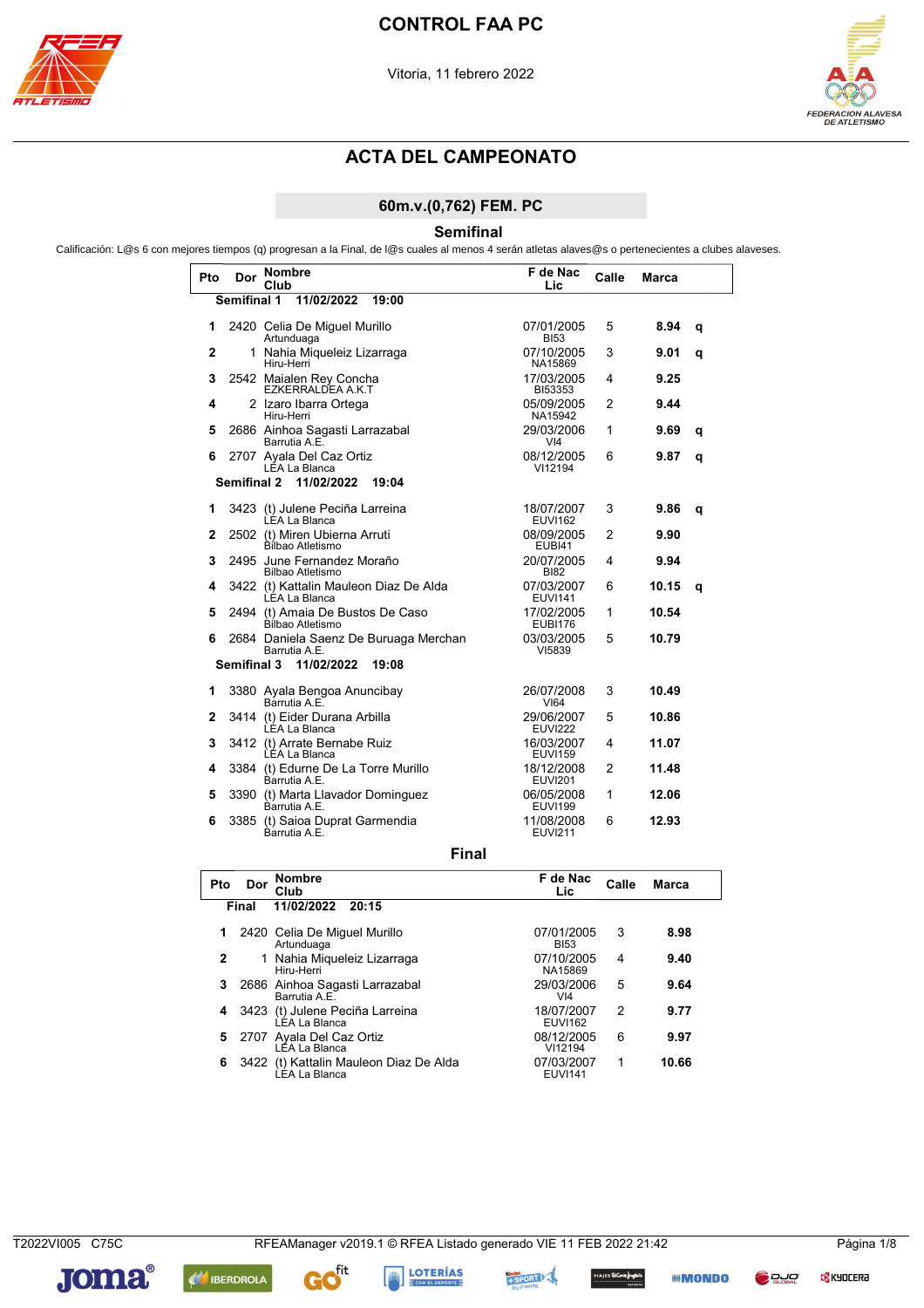

L



## **ACTA DEL CAMPEONATO**

### 60m.v.(0,762) FEM. PC

**Semifinal** 

Calificación: L@s 6 con mejores tiempos (q) progresan a la Final, de l@s cuales al menos 4 serán atletas alaves@s o pertenecientes a clubes alaveses.

| Pto            | Dor         | <b>Nombre</b><br>Club                                   | F de Nac<br>Lic               | Calle          | <b>Marca</b> |   |
|----------------|-------------|---------------------------------------------------------|-------------------------------|----------------|--------------|---|
|                |             | Semifinal 1 11/02/2022<br>19:00                         |                               |                |              |   |
| 1              |             | 2420 Celia De Miguel Murillo<br>Artunduaga              | 07/01/2005<br><b>BI53</b>     | 5              | 8.94         | q |
| $\overline{2}$ |             | 1 Nahia Miqueleiz Lizarraga<br>Hiru-Herri               | 07/10/2005<br>NA15869         | 3              | 9.01         | q |
| 3              |             | 2542 Maialen Rey Concha<br>EZKERRALDEA A.K.T            | 17/03/2005<br><b>BI53353</b>  | 4              | 9.25         |   |
| 4              |             | 2 Izaro Ibarra Ortega<br>Hiru-Herri                     | 05/09/2005<br>NA15942         | $\overline{2}$ | 9.44         |   |
| 5              |             | 2686 Ainhoa Sagasti Larrazabal<br>Barrutia A.E.         | 29/03/2006<br>V <sub>14</sub> | 1              | 9.69         | q |
| 6              |             | 2707 Ayala Del Caz Ortiz<br>LÉA La Blanca               | 08/12/2005<br>VI12194         | 6              | 9.87         | q |
|                | Semifinal 2 | 11/02/2022<br>19:04                                     |                               |                |              |   |
| 1              |             | 3423 (t) Julene Peciña Larreina<br>LÉA La Blanca        | 18/07/2007<br><b>EUVI162</b>  | 3              | 9.86         | a |
| 2              |             | 2502 (t) Miren Ubierna Arruti<br>Bílbao Atletismo       | 08/09/2005<br><b>EUBI41</b>   | $\overline{2}$ | 9.90         |   |
| 3              |             | 2495 June Fernandez Moraño<br>Bilbao Atletismo          | 20/07/2005<br><b>BI82</b>     | 4              | 9.94         |   |
| 4              |             | 3422 (t) Kattalin Mauleon Diaz De Alda<br>LÉA La Blanca | 07/03/2007<br><b>EUVI141</b>  | 6              | 10.15        | q |
| 5              |             | 2494 (t) Amaia De Bustos De Caso<br>Bílbao Atletismo    | 17/02/2005<br><b>EUBI176</b>  | 1              | 10.54        |   |
| 6              |             | 2684 Daniela Saenz De Buruaga Merchan<br>Barrutia A.E.  | 03/03/2005<br>VI5839          | 5              | 10.79        |   |
|                |             | Semifinal 3 11/02/2022<br>19:08                         |                               |                |              |   |
| 1              |             | 3380 Ayala Bengoa Anuncibay<br>Barrutia A.E.            | 26/07/2008<br><b>VI64</b>     | 3              | 10.49        |   |
| 2              |             | 3414 (t) Eider Durana Arbilla<br>LÉA La Blanca          | 29/06/2007<br><b>EUVI222</b>  | 5              | 10.86        |   |
| 3              |             | 3412 (t) Arrate Bernabe Ruiz<br>LEA La Blanca           | 16/03/2007<br><b>EUVI159</b>  | 4              | 11.07        |   |
| 4              |             | 3384 (t) Edurne De La Torre Murillo<br>Barrutia A.E.    | 18/12/2008<br><b>EUVI201</b>  | $\overline{2}$ | 11.48        |   |
| 5              |             | 3390 (t) Marta Llavador Dominguez<br>Barrutia A.E.      | 06/05/2008<br><b>EUVI199</b>  | 1              | 12.06        |   |
| 6              |             | 3385 (t) Saioa Duprat Garmendia<br>Barrutia A F         | 11/08/2008<br><b>EUVI211</b>  | 6              | 12.93        |   |

**Final** 

| Pto | Dor   | <b>Nombre</b><br>Club                                     | F de Nac<br>Lic.             | Calle | Marca |
|-----|-------|-----------------------------------------------------------|------------------------------|-------|-------|
|     | Final | 11/02/2022<br>20:15                                       |                              |       |       |
| 1.  |       | 2420 Celia De Miguel Murillo<br>Artunduaga                | 07/01/2005<br><b>BI53</b>    | 3     | 8.98  |
| 2   |       | 1 Nahia Miqueleiz Lizarraga<br>Hiru-Herri                 | 07/10/2005<br>NA15869        | 4     | 9.40  |
| 3   |       | 2686 Ainhoa Sagasti Larrazabal<br>Barrutia A.E.           | 29/03/2006<br>VI4            | 5     | 9.64  |
| 4   |       | 3423 (t) Julene Peciña Larreina<br>LÉA La Blanca          | 18/07/2007<br><b>EUVI162</b> | 2     | 9.77  |
| 5.  |       | 2707 Ayala Del Caz Ortiz<br>LÉA La Blanca                 | 08/12/2005<br>VI12194        | 6     | 9.97  |
| 6   |       | 3422 (t) Kattalin Mauleon Diaz De Alda<br>Ì ÉA I a Blanca | 07/03/2007<br><b>EUVI141</b> | 1     | 10.66 |

T2022VI005 C75C

**C<mark>S</mark>** KYOCERA



**AN IBERDROLA** 







**III** MONDO

**D** DJO

ces **EtCanlefrigad**io).<br>متحصون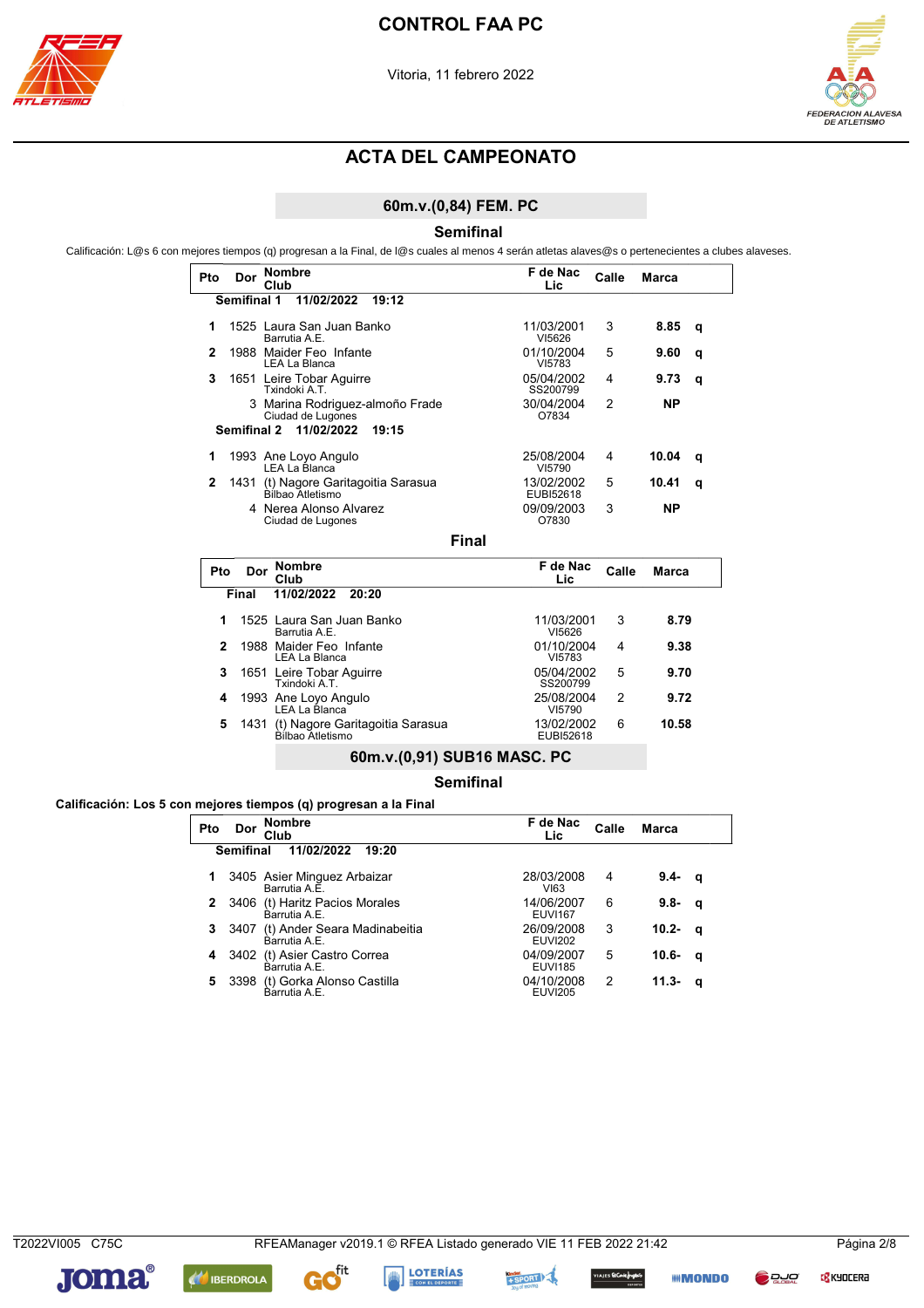



#### 60m.v.(0,84) FEM. PC

**Semifinal** 

Calificación: L@s 6 con mejores tiempos (q) progresan a la Final, de l@s cuales al menos 4 serán atletas alaves@s o pertenecientes a clubes alaveses.

|     |             | <b>Nombre</b>                                        | F de Nac                |       |              |   |  |
|-----|-------------|------------------------------------------------------|-------------------------|-------|--------------|---|--|
| Pto | Dor         | Club                                                 | Lic                     | Calle | <b>Marca</b> |   |  |
|     | Semifinal 1 | 11/02/2022<br>19:12                                  |                         |       |              |   |  |
|     |             | 1525 Laura San Juan Banko<br>Barrutia A.E.           | 11/03/2001<br>VI5626    | 3     | 8.85         | q |  |
| 2   |             | 1988 Maider Feo Infante<br>LEA La Blanca             | 01/10/2004<br>VI5783    | 5     | 9.60         | q |  |
| 3   |             | 1651 Leire Tobar Aguirre<br>Txindoki A.T.            | 05/04/2002<br>SS200799  | 4     | 9.73         | q |  |
|     |             | 3 Marina Rodriguez-almoño Frade<br>Ciudad de Lugones | 30/04/2004<br>O7834     | 2     | ΝP           |   |  |
|     |             | Semifinal 2 11/02/2022<br>19:15                      |                         |       |              |   |  |
|     |             | 1993 Ane Loyo Angulo<br>LEA La Blanca                | 25/08/2004<br>VI5790    | 4     | 10.04        | q |  |
| 2   | 1431        | (t) Nagore Garitagoitia Sarasua<br>Bilbao Atletismo  | 13/02/2002<br>EUBI52618 | 5     | 10.41        | q |  |
|     |             | 4 Nerea Alonso Alvarez<br>Ciudad de Lugones          | 09/09/2003<br>O7830     | 3     | ΝP           |   |  |
|     |             | Final                                                |                         |       |              |   |  |

Dor Nombre F de Nac Pto Calle **Marca** Lic Final 11/02/2022 20:20 11/03/2001 8.79 1525 Laura San Juan Banko  $\overline{3}$  $\mathbf{1}$ Barrutia A.E.  $V15626$ 01/10/2004<br>VI5783 1988 Maider Feo Infante<br>LEA La Blanca  $\overline{2}$  $\overline{4}$ 9.38 1651 Leire Tobar Aguirre  $\overline{\mathbf{3}}$ 05/04/2002 9.70 5 Txindoki A.T. SS200799 1993 Ane Loyo Angulo  $\overline{\mathbf{4}}$ 25/08/2004  $\overline{2}$ 9.72 LEA La Blanca VI5790 (t) Nagore Garitagoitia Sarasua<br>Bilbao Atletismo  $\overline{\mathbf{5}}$ 13/02/2002  $\,6$ 10.58 1431 EUBI52618

#### 60m.v.(0,91) SUB16 MASC. PC

**Semifinal** 

Calificación: Los 5 con mejores tiempos (q) progresan a la Final

| Pto | Dor              | <b>Nombre</b><br>Club                             | F de Nac<br>Lic.             | Calle | Marca     |          |
|-----|------------------|---------------------------------------------------|------------------------------|-------|-----------|----------|
|     | <b>Semifinal</b> | 11/02/2022<br>19:20                               |                              |       |           |          |
|     |                  | 3405 Asier Minguez Arbaizar<br>Barrutia A.E.      | 28/03/2008<br>VI63           | 4     | $9.4 - q$ |          |
|     |                  | 2 3406 (t) Haritz Pacios Morales<br>Barrutia A.E. | 14/06/2007<br><b>EUVI167</b> | 6     | $9.8 -$   | - q      |
|     | 3 3407           | (t) Ander Seara Madinabeitia<br>Barrutia A.E.     | 26/09/2008<br><b>EUVI202</b> | 3     | 10.2- q   |          |
|     |                  | 4 3402 (t) Asier Castro Correa<br>Barrutia A.E.   | 04/09/2007<br><b>EUVI185</b> | 5     | $10.6 -$  | <b>q</b> |
| 5   |                  | 3398 (t) Gorka Alonso Castilla<br>Barrutia A.E.   | 04/10/2008<br><b>EUVI205</b> | 2     | 11.3-     | a        |

T2022VI005 C75C

**C<mark>S</mark>** KYOCERA









Es ElCorlefrights

*IIII* **MONDO** 

**DRUC**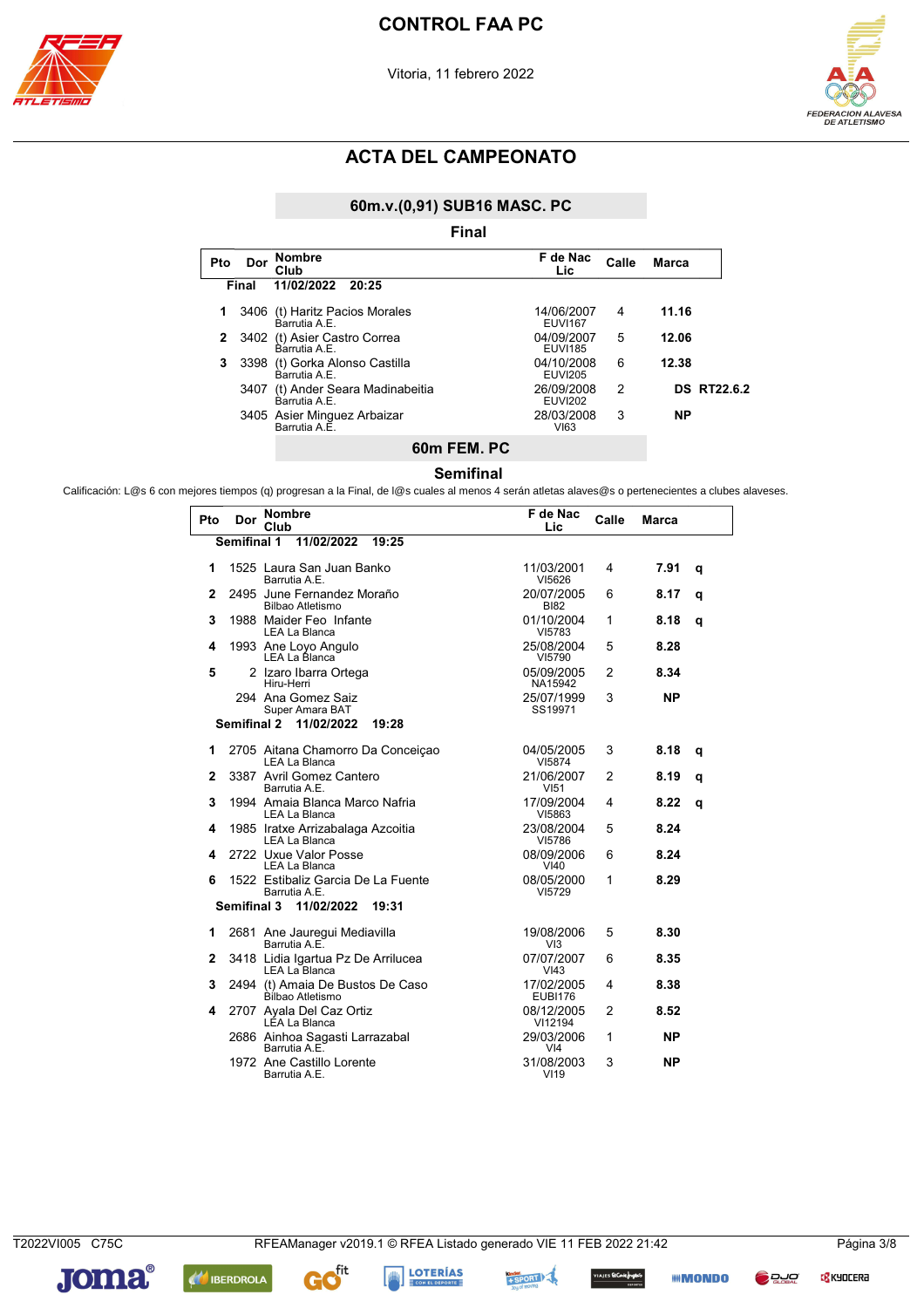





### 60m.v.(0,91) SUB16 MASC. PC

| Pto | Dor   | <b>Nombre</b><br>Club                           | F de Nac<br>Calle<br><b>Marca</b><br>Lic.               |
|-----|-------|-------------------------------------------------|---------------------------------------------------------|
|     | Final | 11/02/2022<br>20:25                             |                                                         |
|     |       | 3406 (t) Haritz Pacios Morales<br>Barrutia A F  | 11.16<br>14/06/2007<br>4<br><b>EUVI167</b>              |
| 2   |       | 3402 (t) Asier Castro Correa<br>Barrutia A.E.   | 5<br>12.06<br>04/09/2007<br><b>EUVI185</b>              |
| 3   |       | 3398 (t) Gorka Alonso Castilla<br>Barrutia A.E. | 6<br>12.38<br>04/10/2008<br><b>EUVI205</b>              |
|     | 3407  | (t) Ander Seara Madinabeitia<br>Barrutia A.E.   | 26/09/2008<br><b>DS RT22.6.2</b><br>2<br><b>EUVI202</b> |
|     |       | 3405 Asier Minguez Arbaizar<br>Barrutia A.E.    | 28/03/2008<br>3<br><b>NP</b><br>VI63                    |
|     |       |                                                 |                                                         |

### Semifinal 60m FEM. PC

Calificación: L@s 6 con mejores tiempos (q) progresan a la Final, de l@s cuales al menos 4 serán atletas alaves@s o pertenecientes a clubes alaveses.

| Pto | Dor                | <b>Nombre</b>                                        | F de Nac                       | Calle          | <b>Marca</b> |   |
|-----|--------------------|------------------------------------------------------|--------------------------------|----------------|--------------|---|
|     | Semifinal 1        | Club<br>11/02/2022<br>19:25                          | Lic                            |                |              |   |
|     |                    |                                                      |                                |                |              |   |
| 1   |                    | 1525 Laura San Juan Banko<br>Barrutia A.E.           | 11/03/2001<br>VI5626           | 4              | 7.91         | q |
| 2   |                    | 2495 June Fernandez Moraño<br>Bilbao Atletismo       | 20/07/2005<br><b>BI82</b>      | 6              | 8.17         | q |
| 3   |                    | 1988 Maider Feo Infante<br>LEA La Blanca             | 01/10/2004<br>VI5783           | 1              | 8.18         | q |
| 4   |                    | 1993 Ane Loyo Angulo<br>LEA La Blanca                | 25/08/2004<br>VI5790           | 5              | 8.28         |   |
| 5   |                    | 2 Izaro Ibarra Ortega<br>Hiru-Herri                  | 05/09/2005<br>NA15942          | 2              | 8.34         |   |
|     |                    | 294 Ana Gomez Saiz<br>Super Amara BAT                | 25/07/1999<br>SS19971          | 3              | <b>NP</b>    |   |
|     | <b>Semifinal 2</b> | 11/02/2022<br>19:28                                  |                                |                |              |   |
| 1   |                    | 2705 Aitana Chamorro Da Conceiçao<br>LEA La Blanca   | 04/05/2005<br>VI5874           | 3              | 8.18         | q |
| 2   |                    | 3387 Avril Gomez Cantero<br>Barrutia A.E.            | 21/06/2007<br>VI51             | 2              | 8.19         | q |
| 3   |                    | 1994 Amaia Blanca Marco Nafria<br>LEA La Blanca      | 17/09/2004<br>VI5863           | 4              | 8.22         | q |
| 4   |                    | 1985 Iratxe Arrizabalaga Azcoitia<br>LEA La Blanca   | 23/08/2004<br>VI5786           | 5              | 8.24         |   |
| 4   |                    | 2722 Uxue Valor Posse<br><b>LEA La Blanca</b>        | 08/09/2006<br>VI40             | 6              | 8.24         |   |
| 6   |                    | 1522 Estibaliz Garcia De La Fuente<br>Barrutia A.E.  | 08/05/2000<br>VI5729           | 1              | 8.29         |   |
|     | <b>Semifinal 3</b> | 11/02/2022<br>19:31                                  |                                |                |              |   |
| 1   |                    | 2681 Ane Jauregui Mediavilla<br>Barrutia A.E.        | 19/08/2006<br>VI3              | 5              | 8.30         |   |
| 2   |                    | 3418 Lidia Igartua Pz De Arrilucea<br>LEA La Blanca  | 07/07/2007<br>V <sub>43</sub>  | 6              | 8.35         |   |
| 3   |                    | 2494 (t) Amaia De Bustos De Caso<br>Bílbao Atletismo | 17/02/2005<br><b>EUBI176</b>   | 4              | 8.38         |   |
| 4   |                    | 2707 Ayala Del Caz Ortiz<br>LÉA La Blanca            | 08/12/2005<br>VI12194          | $\overline{2}$ | 8.52         |   |
|     |                    | 2686 Ainhoa Sagasti Larrazabal<br>Barrutia A.E.      | 29/03/2006<br>VI4              | 1              | <b>NP</b>    |   |
|     |                    | 1972 Ane Castillo Lorente<br>Barrutia A.E.           | 31/08/2003<br>VI <sub>19</sub> | 3              | <b>NP</b>    |   |

**C<mark>S</mark>** KYOCERA



**AN** IBERDROLA

G



s **EtCorlefnges**s

**IIII MONDO** 

Pada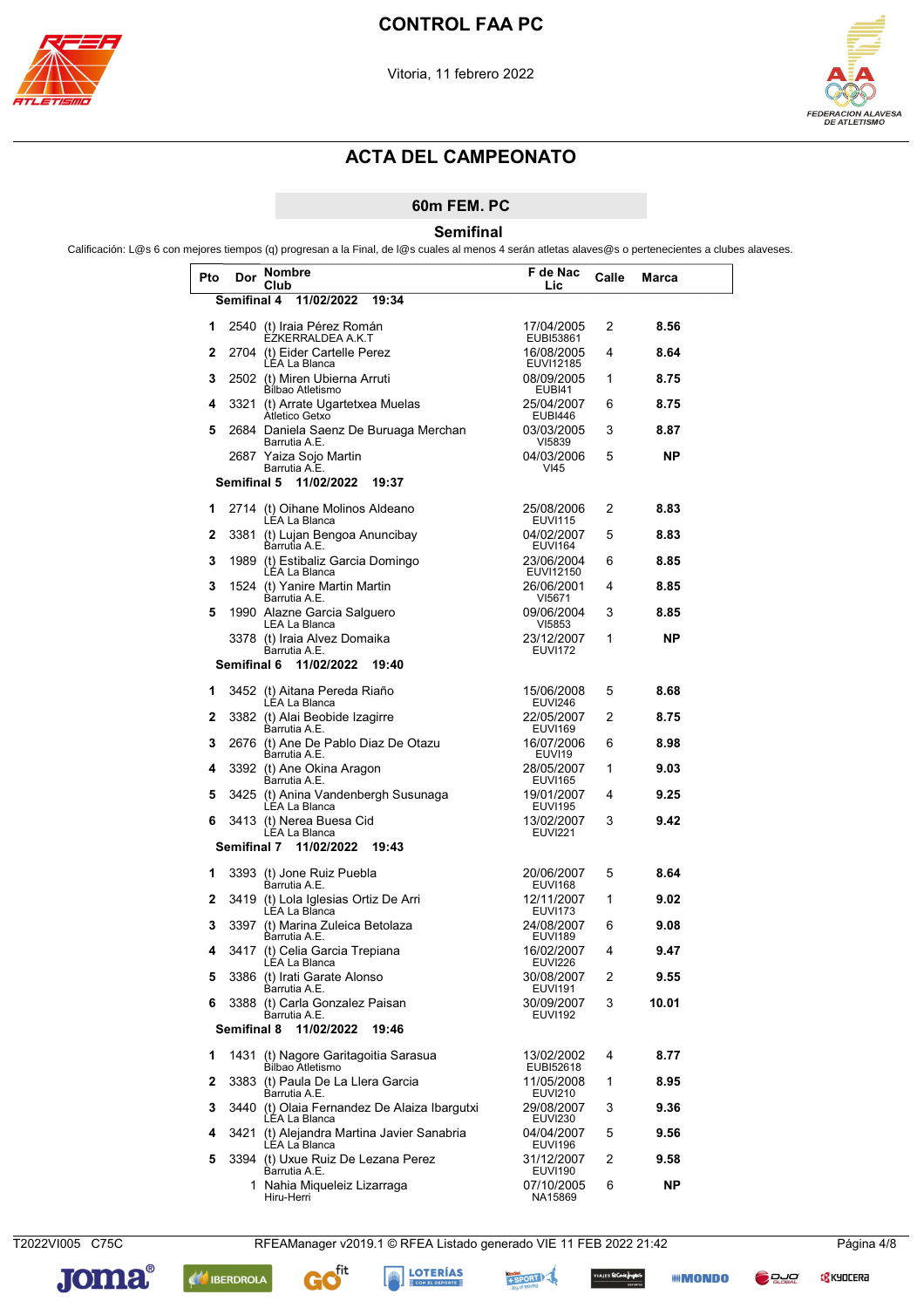



#### 60m FEM. PC

Semifinal

Calificación: L@s 6 con mejores tiempos (q) progresan a la Final, de l@s cuales al menos 4 serán atletas alaves@s o pertenecientes a clubes alaveses.

| Pto | Dor         | Nombre<br>Club                                                | F de Nac<br>Lic              | Calle | Marca |  |
|-----|-------------|---------------------------------------------------------------|------------------------------|-------|-------|--|
|     | Semifinal 4 | 11/02/2022<br>19:34                                           |                              |       |       |  |
| 1   |             | 2540 (t) Iraia Pérez Román<br>ÈZKERRALDEA A.K.T               | 17/04/2005<br>EUBI53861      | 2     | 8.56  |  |
| 2   |             | 2704 (t) Eider Cartelle Perez<br>LEA La Blanca                | 16/08/2005<br>EUVI12185      | 4     | 8.64  |  |
| 3   |             | 2502 (t) Miren Ubierna Arruti<br><b>Bilbao Atletismo</b>      | 08/09/2005<br><b>EUBI41</b>  | 1     | 8.75  |  |
| 4   | 3321        | (t) Arrate Ugartetxea Muelas<br>Atletico Getxo                | 25/04/2007<br><b>EUBI446</b> | 6     | 8.75  |  |
| 5   |             | 2684 Daniela Saenz De Buruaga Merchan<br>Barrutia A.E.        | 03/03/2005<br>VI5839         | 3     | 8.87  |  |
|     |             | 2687 Yaiza Sojo Martin<br>Barrutia A.E.                       | 04/03/2006<br>VI45           | 5     | ΝP    |  |
|     | Semifinal 5 | 11/02/2022<br>19:37                                           |                              |       |       |  |
| 1   |             | 2714 (t) Oihane Molinos Aldeano<br>LEA La Blanca              | 25/08/2006<br><b>EUVI115</b> | 2     | 8.83  |  |
| 2   | 3381        | (t) Lujan Bengoa Anuncibay<br>Barrutia A.E.                   | 04/02/2007<br>EUVI164        | 5     | 8.83  |  |
| 3   |             | 1989 (t) Estibaliz Garcia Domingo<br>LEA La Blanca            | 23/06/2004<br>EUVI12150      | 6     | 8.85  |  |
| 3   |             | 1524 (t) Yanire Martin Martin<br>Barrutia A.E.                | 26/06/2001<br>VI5671         | 4     | 8.85  |  |
| 5   |             | 1990 Alazne Garcia Salguero<br>LEA La Blanca                  | 09/06/2004<br>VI5853         | 3     | 8.85  |  |
|     |             | 3378 (t) Iraia Alvez Domaika<br>Barrutia A.E.                 | 23/12/2007<br><b>EUVI172</b> | 1     | ΝP    |  |
|     | Semifinal 6 | 11/02/2022<br>19:40                                           |                              |       |       |  |
| 1   |             | 3452 (t) Aitana Pereda Riaño<br>LEA La Blanca                 | 15/06/2008<br><b>EUVI246</b> | 5     | 8.68  |  |
| 2   |             | 3382 (t) Alai Beobide Izagirre<br>Barrutia A.E.               | 22/05/2007<br><b>EUVI169</b> | 2     | 8.75  |  |
| 3   |             | 2676 (t) Ane De Pablo Diaz De Otazu<br>Barrutia A.E.          | 16/07/2006<br>EUVI19         | 6     | 8.98  |  |
| 4   |             | 3392 (t) Ane Okina Aragon<br>Barrutia A.E.                    | 28/05/2007<br><b>EUVI165</b> | 1     | 9.03  |  |
| 5   |             | 3425 (t) Anina Vandenbergh Susunaga<br>LEA La Blanca          | 19/01/2007<br><b>EUVI195</b> | 4     | 9.25  |  |
| 6   |             | 3413 (t) Nerea Buesa Cid<br><b>LEA La Blanca</b>              | 13/02/2007<br><b>EUVI221</b> | 3     | 9.42  |  |
|     | Semifinal 7 | 11/02/2022<br>19:43                                           |                              |       |       |  |
| 1   |             | 3393 (t) Jone Ruiz Puebla<br>Barrutia A.E.                    | 20/06/2007<br><b>EUVI168</b> | 5     | 8.64  |  |
| 2   |             | 3419 (t) Lola Iglesias Ortiz De Arri<br>LEA La Blanca         | 12/11/2007<br><b>EUVI173</b> | 1     | 9.02  |  |
| 3   |             | 3397 (t) Marina Zuleica Betolaza<br>Barrutia A.E.             | 24/08/2007<br><b>EUVI189</b> | 6     | 9.08  |  |
| 4   |             | 3417 (t) Celia Garcia Trepiana<br>LEA La Blanca               | 16/02/2007<br><b>EUVI226</b> | 4     | 9.47  |  |
| 5   |             | 3386 (t) Irati Garate Alonso<br>Barrutia A.E.                 | 30/08/2007<br><b>EUVI191</b> | 2     | 9.55  |  |
| 6   |             | 3388 (t) Carla Gonzalez Paisan<br>Barrutia A.E.               | 30/09/2007<br><b>EUVI192</b> | 3     | 10.01 |  |
|     | Semifinal 8 | 11/02/2022<br>19:46                                           |                              |       |       |  |
| 1   |             | 1431 (t) Nagore Garitagoitia Sarasua<br>Bilbao Atletismo      | 13/02/2002<br>EUBI52618      | 4     | 8.77  |  |
| 2   |             | 3383 (t) Paula De La Llera Garcia<br>Barrutia A.E.            | 11/05/2008<br><b>EUVI210</b> | 1     | 8.95  |  |
| 3   |             | 3440 (t) Olaia Fernandez De Alaiza Ibargutxi<br>LÉA La Blanca | 29/08/2007<br><b>EUVI230</b> | 3     | 9.36  |  |
| 4   |             | 3421 (t) Alejandra Martina Javier Sanabria<br>LÉA La Blanca   | 04/04/2007<br><b>EUVI196</b> | 5     | 9.56  |  |
| 5   |             | 3394 (t) Uxue Ruiz De Lezana Perez<br>Barrutia A.E.           | 31/12/2007<br><b>EUVI190</b> | 2     | 9.58  |  |
|     |             | 1 Nahia Miqueleiz Lizarraga<br>Hiru-Herri                     | 07/10/2005<br>NA15869        | 6     | NΡ    |  |

T2022VI005 C75C RFEAManager v2019.1 © RFEA Listado generado VIE 11 FEB 2022 21:42



G





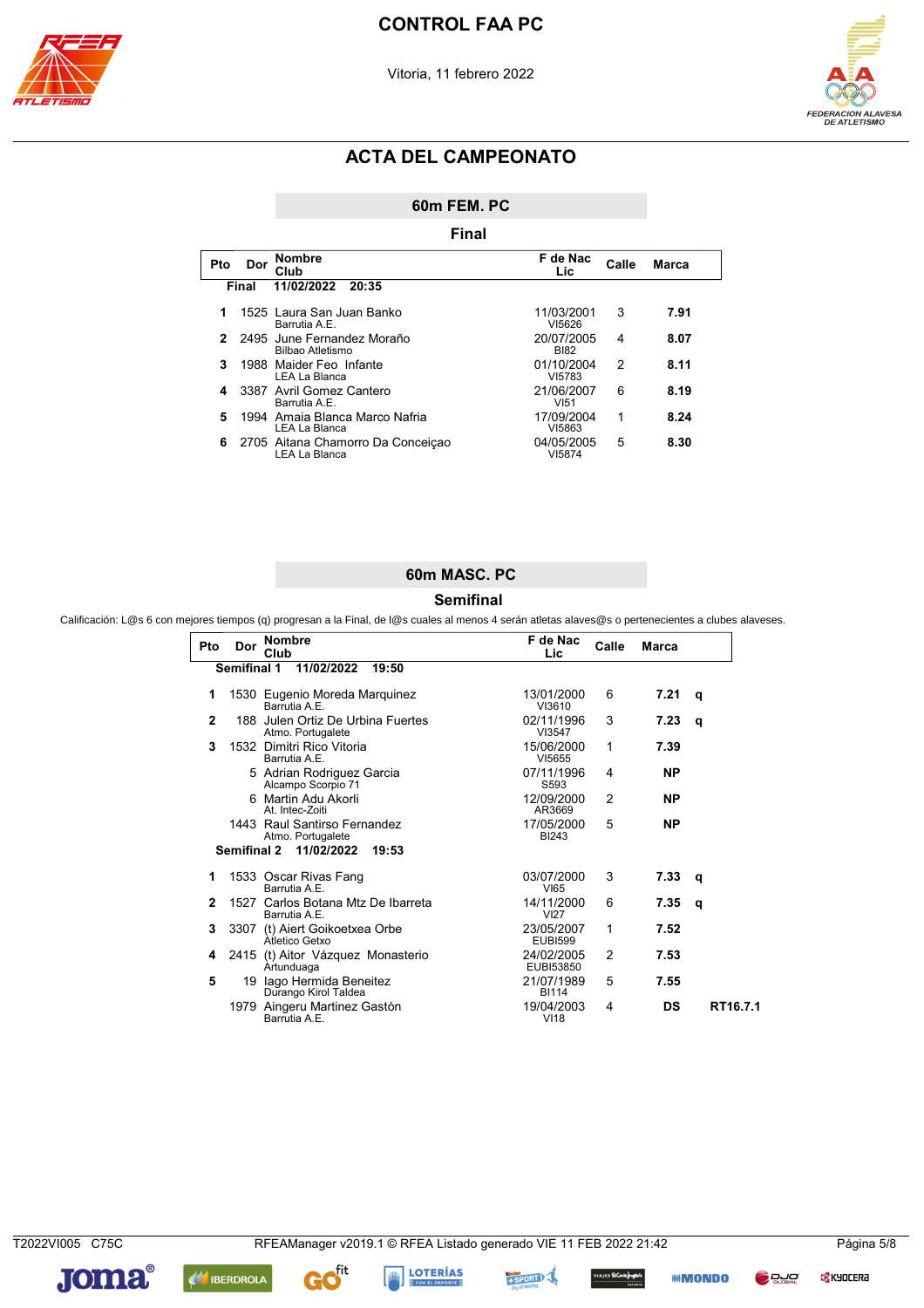



60m FEM. PC

|     |       | Final                                              |                           |               |              |
|-----|-------|----------------------------------------------------|---------------------------|---------------|--------------|
| Pto | Dor   | <b>Nombre</b><br>Club                              | F de Nac<br>Lic           | Calle         | <b>Marca</b> |
|     | Final | 11/02/2022<br>20:35                                |                           |               |              |
|     |       | 1525 Laura San Juan Banko<br>Barrutia A.E.         | 11/03/2001<br>VI5626      | 3             | 7.91         |
| 2   |       | 2495 June Fernandez Moraño<br>Bilbao Atletismo     | 20/07/2005<br><b>BI82</b> | 4             | 8.07         |
| 3   |       | 1988 Maider Feo Infante<br>LEA La Blanca           | 01/10/2004<br>VI5783      | $\mathcal{P}$ | 8.11         |
|     |       | 3387 Avril Gomez Cantero<br>Barrutia A.E.          | 21/06/2007<br>VI51        | 6             | 8.19         |
| 5   |       | 1994 Amaia Blanca Marco Nafria<br>LEA La Blanca    | 17/09/2004<br>VI5863      | 1             | 8.24         |
| 6   |       | 2705 Aitana Chamorro Da Conceição<br>LEA La Blanca | 04/05/2005<br>VI5874      | 5             | 8.30         |

### 60m MASC. PC

#### **Semifinal**

Calificación: L@s 6 con mejores tiempos (q) progresan a la Final, de l@s cuales al menos 4 serán atletas alaves@s o pertenecientes a clubes alaveses.

| Pto          | Dor                | <b>Nombre</b><br>Club                                  | F de Nac<br>Lic              | Calle          | <b>Marca</b> |          |
|--------------|--------------------|--------------------------------------------------------|------------------------------|----------------|--------------|----------|
|              | <b>Semifinal 1</b> | 11/02/2022<br>19:50                                    |                              |                |              |          |
| 1            |                    | 1530 Eugenio Moreda Marquinez<br>Barrutia A F          | 13/01/2000<br>VI3610         | 6              | 7.21         | q        |
| $\mathbf{2}$ |                    | 188 Julen Ortiz De Urbina Fuertes<br>Atmo. Portugalete | 02/11/1996<br>VI3547         | 3              | 7.23         | q        |
| 3            |                    | 1532 Dimitri Rico Vitoria<br>Barrutia A.E.             | 15/06/2000<br>VI5655         | 1              | 7.39         |          |
|              |                    | 5 Adrian Rodriguez Garcia<br>Alcampo Scorpio 71        | 07/11/1996<br>S593           | 4              | NP.          |          |
|              |                    | 6 Martin Adu Akorli<br>At. Intec-Zoiti                 | 12/09/2000<br>AR3669         | 2              | <b>NP</b>    |          |
|              |                    | 1443 Raul Santirso Fernandez<br>Atmo. Portugalete      | 17/05/2000<br><b>BI243</b>   | 5              | <b>NP</b>    |          |
|              |                    | Semifinal 2 11/02/2022<br>19:53                        |                              |                |              |          |
| 1            |                    | 1533 Oscar Rivas Fang<br>Barrutia A.E.                 | 03/07/2000<br>VI65           | 3              | 7.33         | q        |
| $\mathbf{2}$ |                    | 1527 Carlos Botana Mtz De Ibarreta<br>Barrutia A.E.    | 14/11/2000<br><b>VI27</b>    | 6              | 7.35         | q        |
| 3            |                    | 3307 (t) Aiert Goikoetxea Orbe<br>Atletico Getxo       | 23/05/2007<br><b>EUBI599</b> | 1              | 7.52         |          |
| 4            |                    | 2415 (t) Aitor Vázquez Monasterio<br>Artunduaga        | 24/02/2005<br>EUBI53850      | $\overline{2}$ | 7.53         |          |
| 5            |                    | 19 Iago Hermida Beneitez<br>Durango Kirol Taldea       | 21/07/1989<br><b>BI114</b>   | 5              | 7.55         |          |
|              |                    | 1979 Aingeru Martinez Gastón<br>Barrutia A.E.          | 19/04/2003<br>VI18           | 4              | DS           | RT16.7.1 |

T2022VI005 C75C

**C<mark>S</mark>** KYOCERA



**AN IBERDROLA** 







**III** MONDO **D** DJO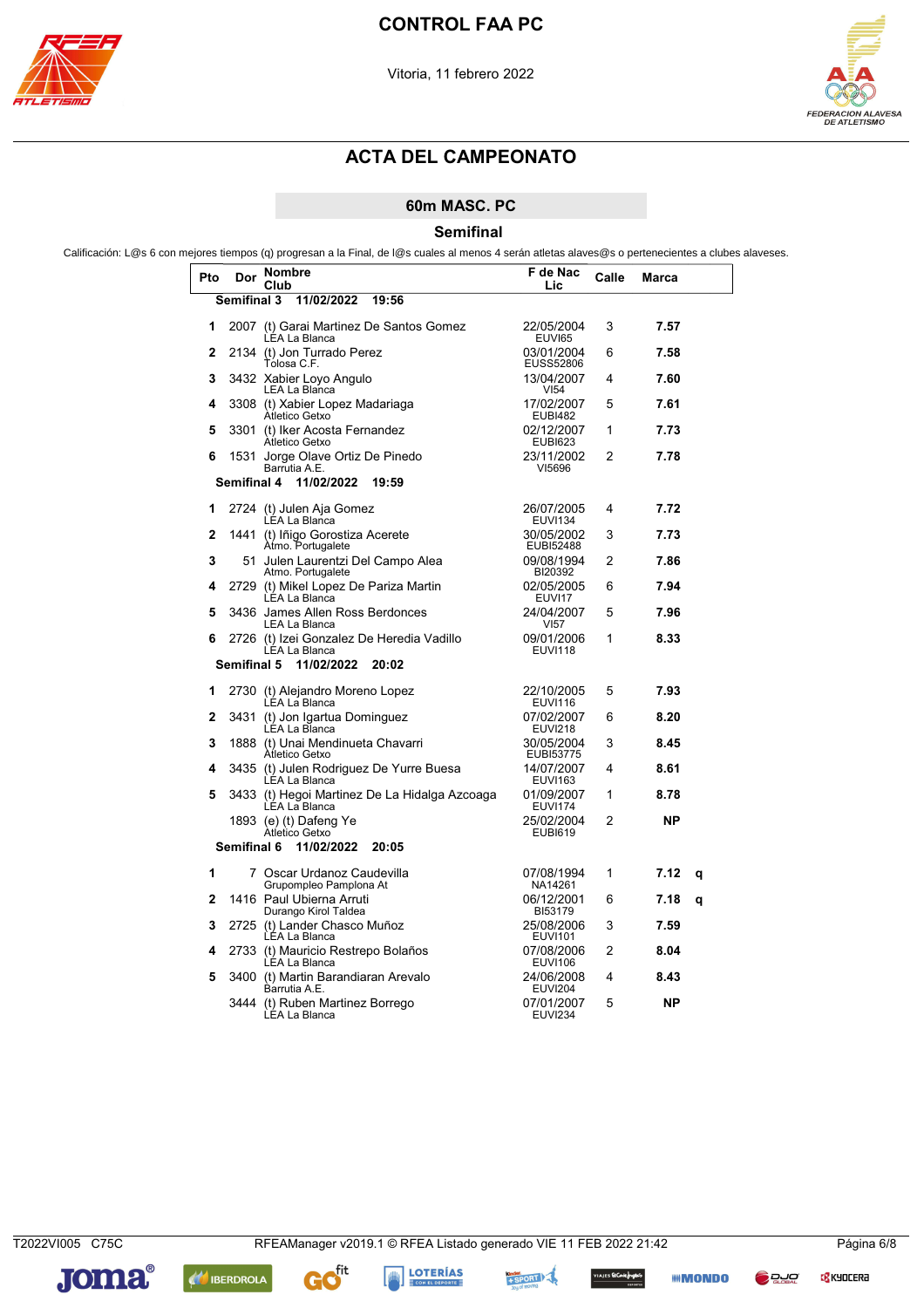



### 60m MASC. PC

Semifinal

Calificación: L@s 6 con mejores tiempos (q) progresan a la Final, de l@s cuales al menos 4 serán atletas alaves@s o pertenecientes a clubes alaveses.

| Pto          | Dor                | Nombre<br>Club                                             | F de Nac<br>Lic                | Calle | Marca     |   |
|--------------|--------------------|------------------------------------------------------------|--------------------------------|-------|-----------|---|
|              | <b>Semifinal 3</b> | 11/02/2022<br>19:56                                        |                                |       |           |   |
| 1            |                    | 2007 (t) Garai Martinez De Santos Gomez<br>LEA La Blanca   | 22/05/2004<br>EUVI65           | 3     | 7.57      |   |
| $\mathbf{2}$ |                    | 2134 (t) Jon Turrado Perez<br>Tolosa C.F.                  | 03/01/2004<br><b>EUSS52806</b> | 6     | 7.58      |   |
| 3            |                    | 3432 Xabier Loyo Angulo<br>LEA La Blanca                   | 13/04/2007<br>VI <sub>54</sub> | 4     | 7.60      |   |
| 4            |                    | 3308 (t) Xabier Lopez Madariaga<br>Atletico Getxo          | 17/02/2007<br><b>EUBI482</b>   | 5     | 7.61      |   |
| 5            | 3301               | (t) Iker Acosta Fernandez<br>Atletico Getxo                | 02/12/2007<br><b>EUBI623</b>   | 1     | 7.73      |   |
| 6            |                    | 1531 Jorge Olave Ortiz De Pinedo<br>Barrutia A.E.          | 23/11/2002<br>VI5696           | 2     | 7.78      |   |
|              | Semifinal 4        | 11/02/2022<br>19:59                                        |                                |       |           |   |
| 1            |                    | 2724 (t) Julen Aja Gomez<br>LEA La Blanca                  | 26/07/2005<br><b>EUVI134</b>   | 4     | 7.72      |   |
| $\mathbf{2}$ | 1441               | (t) Iñigo Gorostiza Acerete<br>Atmo. Portugalete           | 30/05/2002<br>EUBI52488        | 3     | 7.73      |   |
| 3            |                    | 51 Julen Laurentzi Del Campo Alea<br>Atmo. Portugalete     | 09/08/1994<br>BI20392          | 2     | 7.86      |   |
| 4            |                    | 2729 (t) Mikel Lopez De Pariza Martin<br>LÉA La Blanca     | 02/05/2005<br>EUVI17           | 6     | 7.94      |   |
| 5            |                    | 3436 James Allen Ross Berdonces<br>LEA La Blanca           | 24/04/2007<br>VI <sub>57</sub> | 5     | 7.96      |   |
| 6            |                    | 2726 (t) Izei Gonzalez De Heredia Vadillo<br>LEA La Blanca | 09/01/2006<br><b>EUVI118</b>   | 1     | 8.33      |   |
|              | <b>Semifinal 5</b> | 11/02/2022<br>20:02                                        |                                |       |           |   |
| 1            |                    | 2730 (t) Alejandro Moreno Lopez<br>LÉA La Blanca           | 22/10/2005<br><b>EUVI116</b>   | 5     | 7.93      |   |
| 2            |                    | 3431 (t) Jon Igartua Dominguez<br>LÉA La Bl̃anca           | 07/02/2007<br><b>EUVI218</b>   | 6     | 8.20      |   |
| 3            |                    | 1888 (t) Unai Mendinueta Chavarri<br>Atletico Getxo        | 30/05/2004<br>EUBI53775        | 3     | 8.45      |   |
| 4            |                    | 3435 (t) Julen Rodriguez De Yurre Buesa<br>LEA La Blanca   | 14/07/2007<br><b>EUVI163</b>   | 4     | 8.61      |   |
| 5            | 3433               | (t) Hegoi Martinez De La Hidalga Azcoaga<br>LEA La Blanca  | 01/09/2007<br><b>EUVI174</b>   | 1     | 8.78      |   |
|              |                    | 1893 (e) (t) Dafeng Ye<br>Atletico Getxo                   | 25/02/2004<br><b>EUBI619</b>   | 2     | ΝP        |   |
|              | Semifinal 6        | 11/02/2022<br>20:05                                        |                                |       |           |   |
| 1            |                    | 7 Oscar Urdanoz Caudevilla<br>Grupompleo Pamplona At       | 07/08/1994<br>NA14261          | 1     | 7.12      | q |
| 2            |                    | 1416 Paul Ubierna Arruti<br>Durango Kirol Taldea           | 06/12/2001<br>BI53179          | 6     | 7.18      | q |
| 3            |                    | 2725 (t) Lander Chasco Muñoz<br>LEA La Blanca              | 25/08/2006<br><b>EUVI101</b>   | 3     | 7.59      |   |
| 4            |                    | 2733 (t) Mauricio Restrepo Bolaños<br>LEA La Blanca        | 07/08/2006<br><b>EUVI106</b>   | 2     | 8.04      |   |
| 5            | 3400               | (t) Martin Barandiaran Arevalo<br>Barrutia A.E.            | 24/06/2008<br><b>EUVI204</b>   | 4     | 8.43      |   |
|              | 3444               | (t) Ruben Martinez Borrego<br>LEA La Blanca                | 07/01/2007<br><b>EUVI234</b>   | 5     | <b>NP</b> |   |

**C<mark>S</mark>** KYOCERA



**AN IBERDROLA** 



ces **EtCanlefrigad**io).<br>متحصون

**IIII MONDO** 

**D** DJO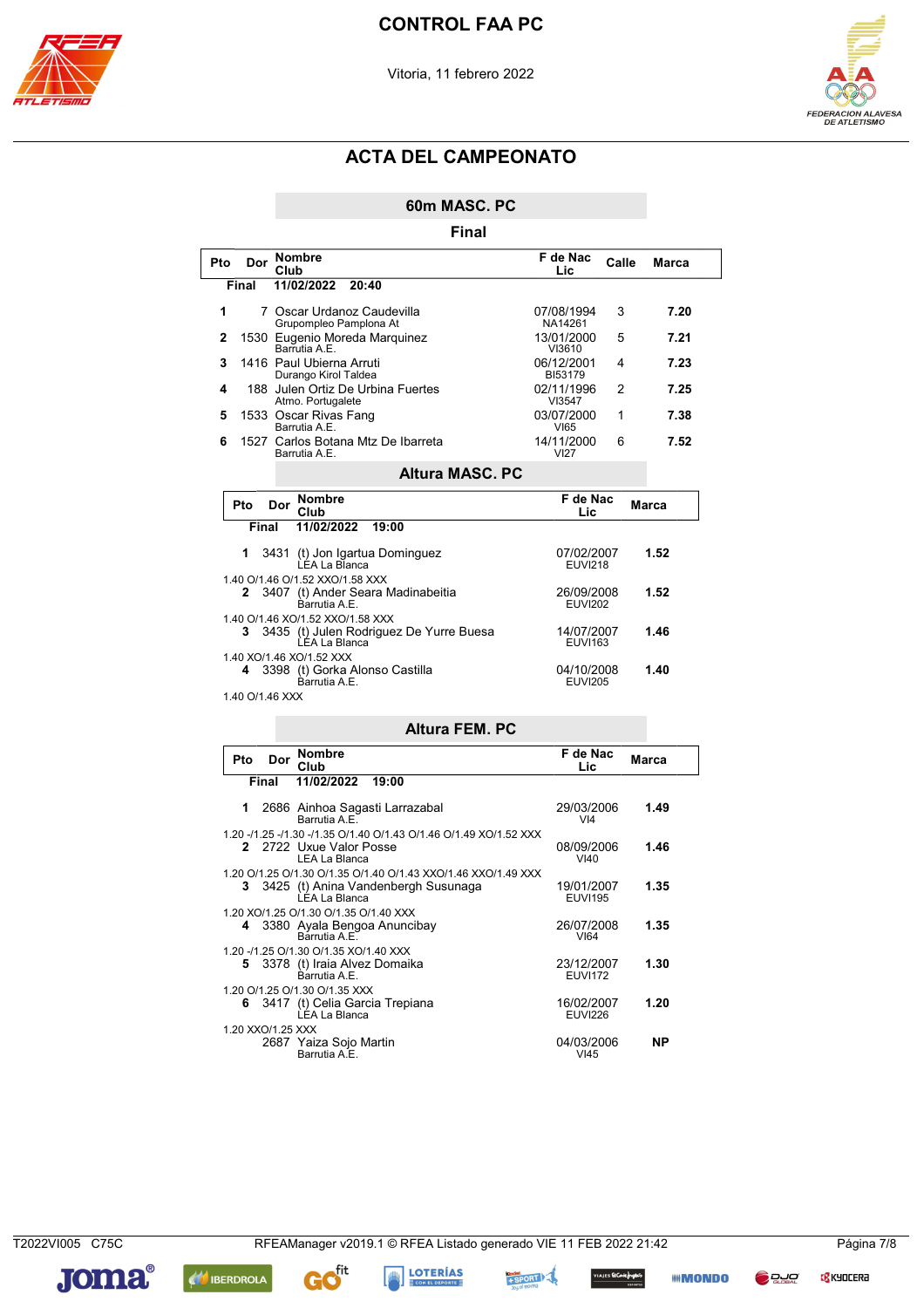



60m MASC. PC

|     |                   |      |                                                  | Final                                                                                                |                              |       |       |       |
|-----|-------------------|------|--------------------------------------------------|------------------------------------------------------------------------------------------------------|------------------------------|-------|-------|-------|
| Pto |                   | Club | Dor Nombre                                       |                                                                                                      | F de Nac<br>Lic              | Calle |       | Marca |
|     | Final             |      | 11/02/2022                                       | 20:40                                                                                                |                              |       |       |       |
| 1   |                   |      |                                                  | 7 Oscar Urdanoz Caudevilla<br>Grupompleo Pamplona At                                                 | 07/08/1994<br>NA14261        | 3     |       | 7.20  |
| 2   |                   |      | Barrutia A.E.                                    | 1530 Eugenio Moreda Marquinez                                                                        | 13/01/2000<br>VI3610         | 5     |       | 7.21  |
| 3   |                   |      | 1416 Paul Ubierna Arruti<br>Durango Kirol Taldea |                                                                                                      | 06/12/2001<br><b>BI53179</b> | 4     |       | 7.23  |
| 4   |                   |      | Atmo. Portugalete                                | 188 Julen Ortiz De Urbina Fuertes                                                                    | 02/11/1996<br>VI3547         | 2     |       | 7.25  |
| 5   |                   |      | 1533 Oscar Rivas Fang<br>Barrutia A.E.           |                                                                                                      | 03/07/2000<br>VI65           | 1     |       | 7.38  |
| 6   |                   |      | Barrutia A.E.                                    | 1527 Carlos Botana Mtz De Ibarreta                                                                   | 14/11/2000<br>VI27           | 6     |       | 7.52  |
|     |                   |      |                                                  | <b>Altura MASC, PC</b>                                                                               |                              |       |       |       |
|     | Pto               | Dor  | Nombre                                           |                                                                                                      | F de Nac                     |       | Marca |       |
|     | Final             |      | Club<br>11/02/2022                               | 19:00                                                                                                | Lic                          |       |       |       |
|     | 1                 | 3431 | LÉA La Bl̃anca                                   | (t) Jon Igartua Dominguez                                                                            | 07/02/2007<br><b>EUVI218</b> |       | 1.52  |       |
|     | 2                 |      | Barrutia A.E.                                    | 1.40 O/1.46 O/1.52 XXO/1.58 XXX<br>3407 (t) Ander Seara Madinabeitia                                 | 26/09/2008<br><b>EUVI202</b> |       | 1.52  |       |
|     | 3                 |      | LEA La Blanca                                    | 1.40 O/1.46 XO/1.52 XXO/1.58 XXX<br>3435 (t) Julen Rodriguez De Yurre Buesa                          | 14/07/2007<br><b>EUVI163</b> |       | 1.46  |       |
|     | 4                 |      | 1.40 XO/1.46 XO/1.52 XXX<br>Barrutia A.E.        | 3398 (t) Gorka Alonso Castilla                                                                       | 04/10/2008<br><b>EUVI205</b> | 1.40  |       |       |
|     | 1.40 O/1.46 XXX   |      |                                                  |                                                                                                      |                              |       |       |       |
|     |                   |      |                                                  | <b>Altura FEM, PC</b>                                                                                |                              |       |       |       |
|     | Pto               | Dor  | <b>Nombre</b><br>Club                            |                                                                                                      | F de Nac<br>Lic              |       | Marca |       |
|     | Final             |      | 11/02/2022                                       | 19:00                                                                                                |                              |       |       |       |
|     | 1                 |      | Barrutia A.E.                                    | 2686 Ainhoa Sagasti Larrazabal                                                                       | 29/03/2006<br>VI4            |       | 1.49  |       |
|     | 2                 |      | LEA La Blanca                                    | 1.20 -/1.25 -/1.30 -/1.35 O/1.40 O/1.43 O/1.46 O/1.49 XO/1.52 XXX<br>2722 Uxue Valor Posse           | 08/09/2006<br>$V$ I40        |       | 1.46  |       |
|     | 3                 |      | LEA La Blanca                                    | 1.20 O/1.25 O/1.30 O/1.35 O/1.40 O/1.43 XXO/1.46 XXO/1.49 XXX<br>3425 (t) Anina Vandenbergh Susunaga | 19/01/2007<br><b>EUVI195</b> |       | 1.35  |       |
|     | 4                 |      | Barrutia A.E.                                    | 1.20 XO/1.25 O/1.30 O/1.35 O/1.40 XXX<br>3380 Ayala Bengoa Anuncibay                                 | 26/07/2008<br>VI64           |       | 1.35  |       |
|     |                   |      | Barrutia A.E.                                    | 1.20 -/1.25 O/1.30 O/1.35 XO/1.40 XXX<br>5 3378 (t) Iraia Alvez Domaika                              | 23/12/2007<br><b>EUVI172</b> |       | 1.30  |       |
|     |                   |      | 1.20 O/1.25 O/1.30 O/1.35 XXX<br>LEA La Blanca   | 6 3417 (t) Celia Garcia Trepiana                                                                     | 16/02/2007<br><b>EUVI226</b> |       | 1.20  |       |
|     | 1.20 XXO/1.25 XXX |      | Barrutia A.E.                                    | 2687 Yaiza Sojo Martin                                                                               | 04/03/2006<br>VI45           |       | ΝP    |       |

T2022VI005 C75C

**C** KYOCERA

**BLUC** 



Gofit **AN IBERDROLA** 





**AJES El Conte frigados**<br>Alternativ

**IIII MONDO**